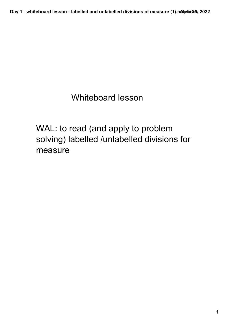Day 1 - whiteboard lesson - labelled and unlabelled divisions of measure (1).n**Aterbo25**x 2022

## Whiteboard lesson

WAL: to read (and apply to problem solving) labelled /unlabelled divisions for measure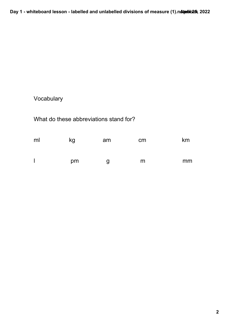Day 1 - whiteboard lesson - labelled and unlabelled divisions of measure (1).n**Aterbo25**x 2022

## Vocabulary

## What do these abbreviations stand for?

| ml | kg | am | cm | km |
|----|----|----|----|----|
|    | pm | g  | m  | mm |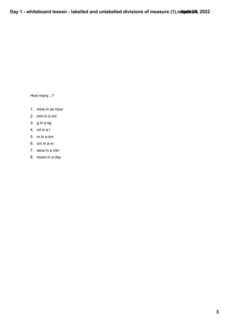How many...?

- 1. mins in an hour
- 2. mm in a cm
- 3. g in a kg
- 4. ml in a l
- 5. m in a km
- 6. cm in a m
- 7. secs in a min
- 8. hours in a day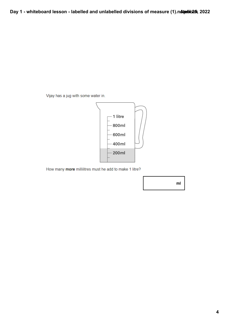Vijay has a jug with some water in.



How many more millilitres must he add to make 1 litre?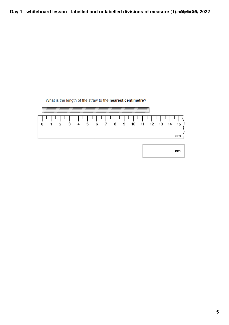

What is the length of the straw to the nearest centimetre?

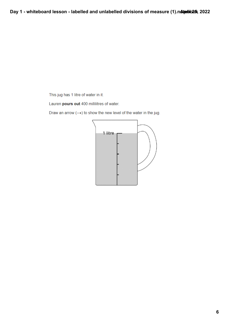This jug has 1 litre of water in it.

Lauren pours out 400 millilitres of water.

Draw an arrow  $(\rightarrow)$  to show the new level of the water in the jug.

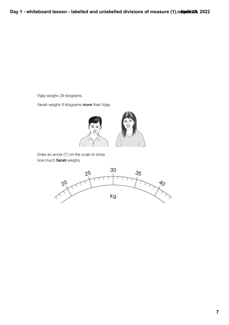Vijay weighs 29 kilograms.

Sarah weighs 8 kilograms more than Vijay.



Draw an arrow (1) on the scale to show how much Sarah weighs.

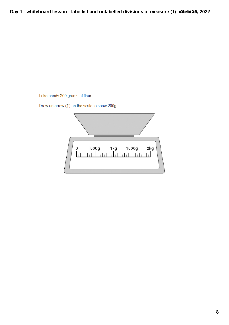Luke needs 200 grams of flour.

Draw an arrow (1) on the scale to show 200g.

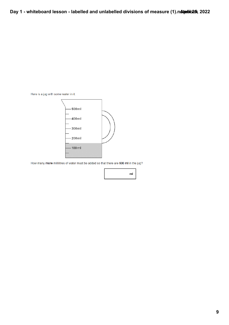Here is a jug with some water in it.



How many more millilitres of water must be added so that there are 500 ml in the jug?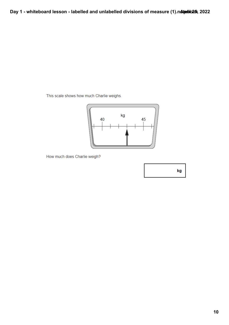This scale shows how much Charlie weighs.



How much does Charlie weigh?

kg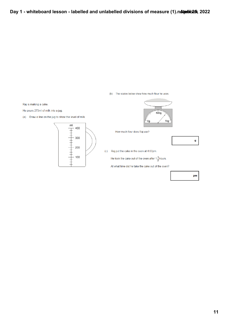(b) The scales below show how much flour he uses.

Raj is making a cake.

He pours 275ml of milk into a jug.

(a) Draw a line on the jug to show the level of milk.





How much flour does Raj use?

g

(c) Raj put the cake in the oven at 4:00pm.

He took the cake out of the oven after  $1\frac{1}{2}$  hours.

At what time did he take the cake out of the oven?

pm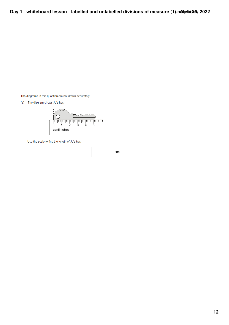The diagrams in this question are not drawn accurately.

(a) The diagram shows Jo's key.



Use the scale to find the length of Jo's key.

cm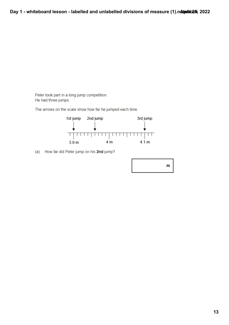Peter took part in a long jump competition. He had three jumps.

The arrows on the scale show how far he jumped each time.



(a) How far did Peter jump on his 2nd jump?

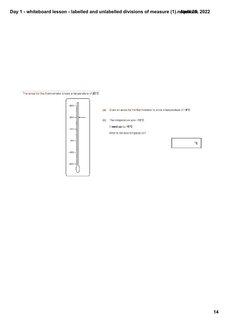The arrow by this thermometer shows a temperature of 20°C



Draw an arrow by the thermometer to show a temperature of  $-8^{\circ}\mathrm{C}$  $(a)$ 

 $(b)$ The temperature was -10°C

## It went up by 15°C

What is the new temperature?

 $^{\circ}{\rm c}$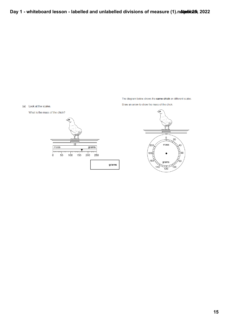The diagram below shows the same chick on different scales.

Draw an arrow to show the mass of the chick.





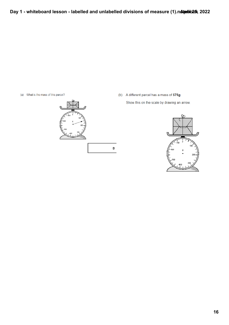g

- (a) What is the mass of this parcel?
	-
- (b) A different parcel has a mass of 575g.

Show this on the scale by drawing an arrow.

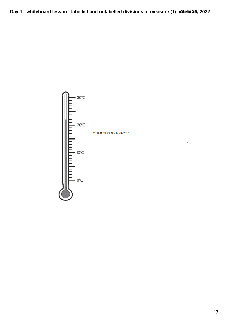

What temperature is shown?

 $\circ$  C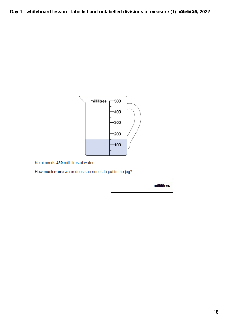

Kemi needs 450 millilitres of water.

How much more water does she needs to put in the jug?

millilitres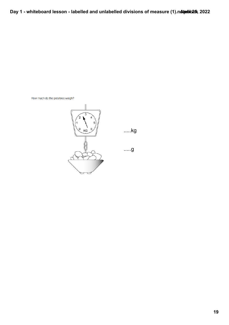How much do the potatoes weigh?



.....kg

.....g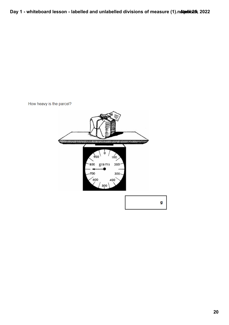How heavy is the parcel?



g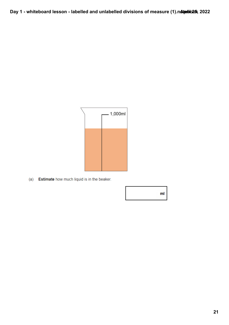

(a) Estimate how much liquid is in the beaker.

 $m<sub>l</sub>$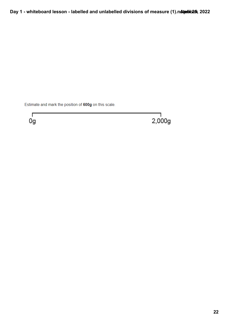Estimate and mark the position of 600g on this scale.



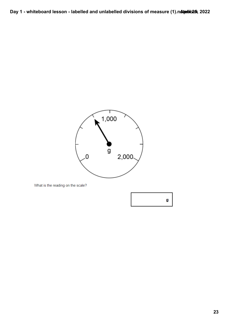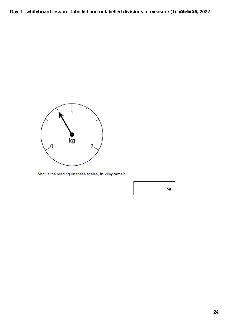

What is the reading on these scales, in kilograms?

kg